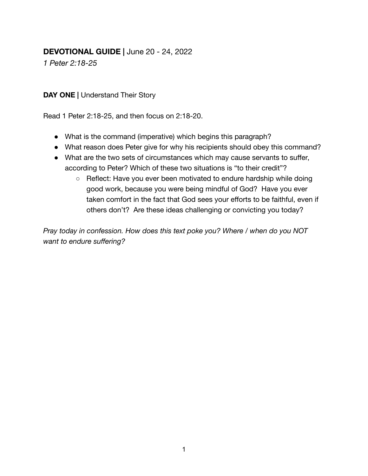## **DEVOTIONAL GUIDE |** June 20 - 24, 2022

*1 Peter 2:18-25*

**DAY ONE |** Understand Their Story

Read 1 Peter 2:18-25, and then focus on 2:18-20.

- What is the command (imperative) which begins this paragraph?
- What reason does Peter give for why his recipients should obey this command?
- What are the two sets of circumstances which may cause servants to suffer, according to Peter? Which of these two situations is "to their credit"?
	- Reflect: Have you ever been motivated to endure hardship while doing good work, because you were being mindful of God? Have you ever taken comfort in the fact that God sees your efforts to be faithful, even if others don't? Are these ideas challenging or convicting you today?

*Pray today in confession. How does this text poke you? Where / when do you NOT want to endure suffering?*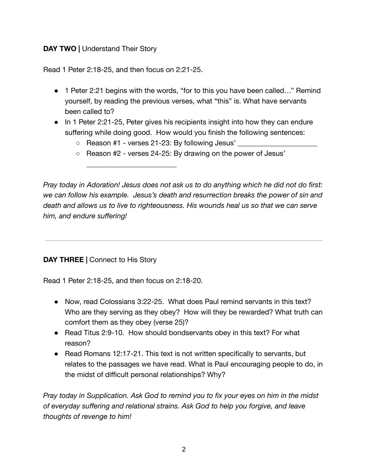## **DAY TWO |** Understand Their Story

Read 1 Peter 2:18-25, and then focus on 2:21-25.

\_\_\_\_\_\_\_\_\_\_\_\_\_\_\_\_\_\_\_\_\_\_\_\_\_

- 1 Peter 2:21 begins with the words, "for to this you have been called..." Remind yourself, by reading the previous verses, what "this" is. What have servants been called to?
- In 1 Peter 2:21-25, Peter gives his recipients insight into how they can endure suffering while doing good. How would you finish the following sentences:
	- $\circ$  Reason #1 verses 21-23: By following Jesus'  $\Box$
	- Reason #2 verses 24-25: By drawing on the power of Jesus'

*Pray today in Adoration! Jesus does not ask us to do anything which he did not do first: we can follow his example. Jesus's death and resurrection breaks the power of sin and death and allows us to live to righteousness. His wounds heal us so that we can serve him, and endure suffering!*

**DAY THREE |** Connect to His Story

Read 1 Peter 2:18-25, and then focus on 2:18-20.

- Now, read Colossians 3:22-25. What does Paul remind servants in this text? Who are they serving as they obey? How will they be rewarded? What truth can comfort them as they obey (verse 25)?
- Read Titus 2:9-10. How should bondservants obey in this text? For what reason?
- Read Romans 12:17-21. This text is not written specifically to servants, but relates to the passages we have read. What is Paul encouraging people to do, in the midst of difficult personal relationships? Why?

*Pray today in Supplication. Ask God to remind you to fix your eyes on him in the midst of everyday suffering and relational strains. Ask God to help you forgive, and leave thoughts of revenge to him!*